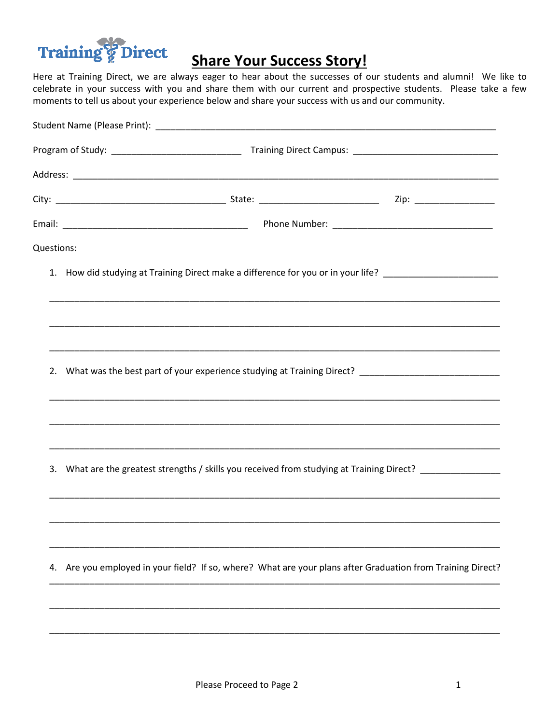

## **Share Your Success Story!**

Here at Training Direct, we are always eager to hear about the successes of our students and alumni! We like to celebrate in your success with you and share them with our current and prospective students. Please take a few moments to tell us about your experience below and share your success with us and our community.

| Questions: |                                                                                                            |  |
|------------|------------------------------------------------------------------------------------------------------------|--|
|            | 1. How did studying at Training Direct make a difference for you or in your life? ________________________ |  |
|            |                                                                                                            |  |
|            | 2. What was the best part of your experience studying at Training Direct? __________________________       |  |
|            |                                                                                                            |  |
|            | 3. What are the greatest strengths / skills you received from studying at Training Direct? _______________ |  |
|            |                                                                                                            |  |
| 4.         | Are you employed in your field? If so, where? What are your plans after Graduation from Training Direct?   |  |
|            |                                                                                                            |  |
|            |                                                                                                            |  |
|            |                                                                                                            |  |